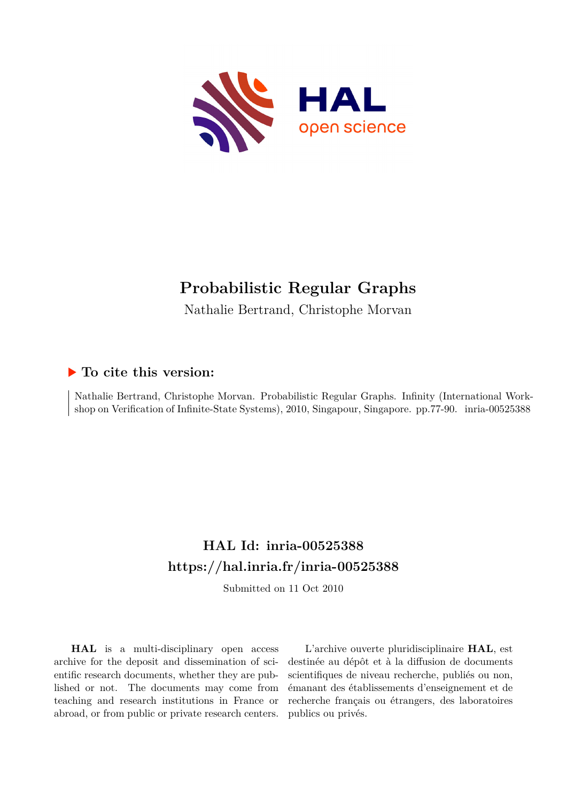

# **Probabilistic Regular Graphs**

Nathalie Bertrand, Christophe Morvan

# **To cite this version:**

Nathalie Bertrand, Christophe Morvan. Probabilistic Regular Graphs. Infinity (International Workshop on Verification of Infinite-State Systems), 2010, Singapour, Singapore. pp.77-90. inria-00525388

# **HAL Id: inria-00525388 <https://hal.inria.fr/inria-00525388>**

Submitted on 11 Oct 2010

**HAL** is a multi-disciplinary open access archive for the deposit and dissemination of scientific research documents, whether they are published or not. The documents may come from teaching and research institutions in France or abroad, or from public or private research centers.

L'archive ouverte pluridisciplinaire **HAL**, est destinée au dépôt et à la diffusion de documents scientifiques de niveau recherche, publiés ou non, émanant des établissements d'enseignement et de recherche français ou étrangers, des laboratoires publics ou privés.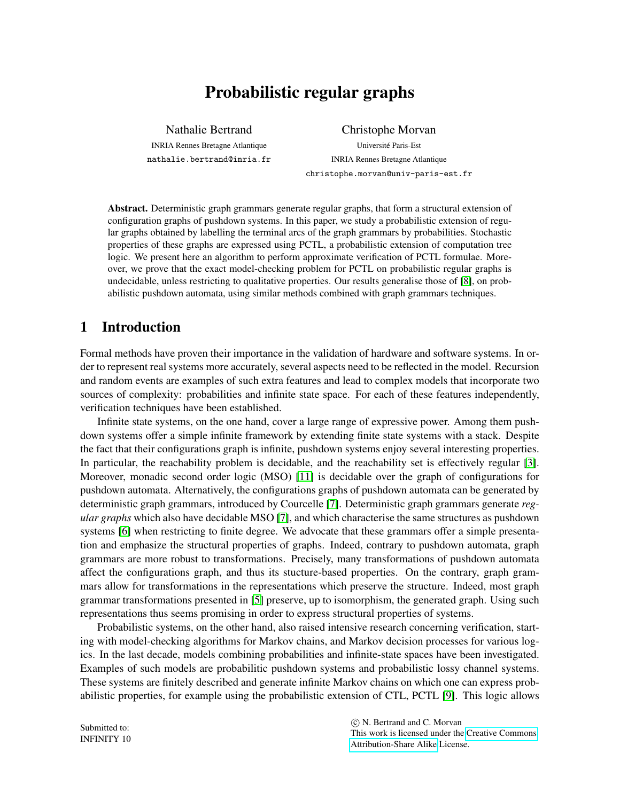# Probabilistic regular graphs

Nathalie Bertrand INRIA Rennes Bretagne Atlantique nathalie.bertrand@inria.fr

Christophe Morvan Universite Paris-Est ´ INRIA Rennes Bretagne Atlantique christophe.morvan@univ-paris-est.fr

Abstract. Deterministic graph grammars generate regular graphs, that form a structural extension of configuration graphs of pushdown systems. In this paper, we study a probabilistic extension of regular graphs obtained by labelling the terminal arcs of the graph grammars by probabilities. Stochastic properties of these graphs are expressed using PCTL, a probabilistic extension of computation tree logic. We present here an algorithm to perform approximate verification of PCTL formulae. Moreover, we prove that the exact model-checking problem for PCTL on probabilistic regular graphs is undecidable, unless restricting to qualitative properties. Our results generalise those of [\[8\]](#page-14-0), on probabilistic pushdown automata, using similar methods combined with graph grammars techniques.

## 1 Introduction

Formal methods have proven their importance in the validation of hardware and software systems. In order to represent real systems more accurately, several aspects need to be reflected in the model. Recursion and random events are examples of such extra features and lead to complex models that incorporate two sources of complexity: probabilities and infinite state space. For each of these features independently, verification techniques have been established.

Infinite state systems, on the one hand, cover a large range of expressive power. Among them pushdown systems offer a simple infinite framework by extending finite state systems with a stack. Despite the fact that their configurations graph is infinite, pushdown systems enjoy several interesting properties. In particular, the reachability problem is decidable, and the reachability set is effectively regular [\[3\]](#page-14-1). Moreover, monadic second order logic (MSO) [\[11\]](#page-14-2) is decidable over the graph of configurations for pushdown automata. Alternatively, the configurations graphs of pushdown automata can be generated by deterministic graph grammars, introduced by Courcelle [\[7\]](#page-14-3). Deterministic graph grammars generate *regular graphs* which also have decidable MSO [\[7\]](#page-14-3), and which characterise the same structures as pushdown systems [\[6\]](#page-14-4) when restricting to finite degree. We advocate that these grammars offer a simple presentation and emphasize the structural properties of graphs. Indeed, contrary to pushdown automata, graph grammars are more robust to transformations. Precisely, many transformations of pushdown automata affect the configurations graph, and thus its stucture-based properties. On the contrary, graph grammars allow for transformations in the representations which preserve the structure. Indeed, most graph grammar transformations presented in [\[5\]](#page-14-5) preserve, up to isomorphism, the generated graph. Using such representations thus seems promising in order to express structural properties of systems.

Probabilistic systems, on the other hand, also raised intensive research concerning verification, starting with model-checking algorithms for Markov chains, and Markov decision processes for various logics. In the last decade, models combining probabilities and infinite-state spaces have been investigated. Examples of such models are probabilitic pushdown systems and probabilistic lossy channel systems. These systems are finitely described and generate infinite Markov chains on which one can express probabilistic properties, for example using the probabilistic extension of CTL, PCTL [\[9\]](#page-14-6). This logic allows

Submitted to: INFINITY 10

 c N. Bertrand and C. Morvan This work is licensed under the [Creative Commons](http://creativecommons.org) [Attribution-Share Alike](http://creativecommons.org/licenses/by-sa/3.0/) License.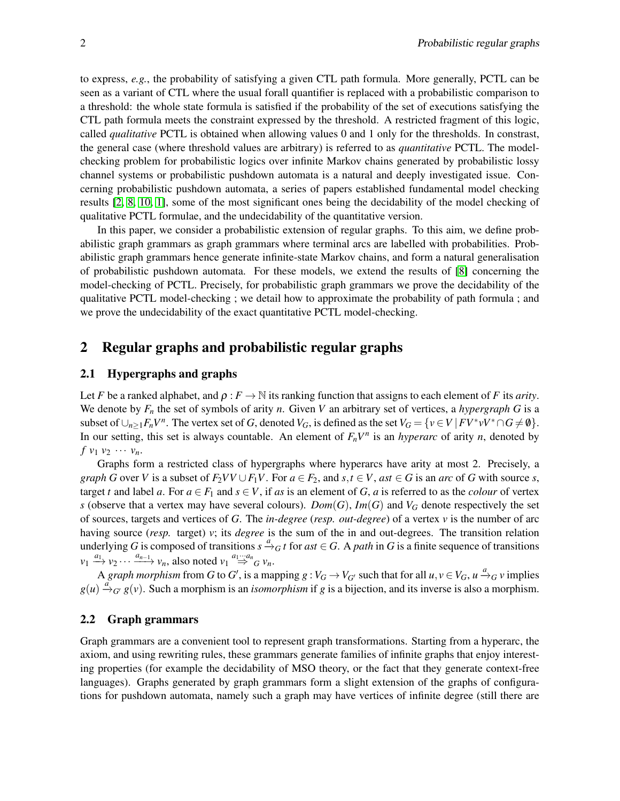to express, *e.g.*, the probability of satisfying a given CTL path formula. More generally, PCTL can be seen as a variant of CTL where the usual forall quantifier is replaced with a probabilistic comparison to a threshold: the whole state formula is satisfied if the probability of the set of executions satisfying the CTL path formula meets the constraint expressed by the threshold. A restricted fragment of this logic, called *qualitative* PCTL is obtained when allowing values 0 and 1 only for the thresholds. In constrast, the general case (where threshold values are arbitrary) is referred to as *quantitative* PCTL. The modelchecking problem for probabilistic logics over infinite Markov chains generated by probabilistic lossy channel systems or probabilistic pushdown automata is a natural and deeply investigated issue. Concerning probabilistic pushdown automata, a series of papers established fundamental model checking results [\[2,](#page-13-0) [8,](#page-14-0) [10,](#page-14-7) [1\]](#page-13-1), some of the most significant ones being the decidability of the model checking of qualitative PCTL formulae, and the undecidability of the quantitative version.

In this paper, we consider a probabilistic extension of regular graphs. To this aim, we define probabilistic graph grammars as graph grammars where terminal arcs are labelled with probabilities. Probabilistic graph grammars hence generate infinite-state Markov chains, and form a natural generalisation of probabilistic pushdown automata. For these models, we extend the results of [\[8\]](#page-14-0) concerning the model-checking of PCTL. Precisely, for probabilistic graph grammars we prove the decidability of the qualitative PCTL model-checking ; we detail how to approximate the probability of path formula ; and we prove the undecidability of the exact quantitative PCTL model-checking.

## 2 Regular graphs and probabilistic regular graphs

#### 2.1 Hypergraphs and graphs

Let *F* be a ranked alphabet, and  $\rho : F \to \mathbb{N}$  its ranking function that assigns to each element of *F* its *arity*. We denote by  $F_n$  the set of symbols of arity *n*. Given *V* an arbitrary set of vertices, a *hypergraph G* is a subset of  $\bigcup_{n\geq 1} F_n V^n$ . The vertex set of *G*, denoted  $V_G$ , is defined as the set  $V_G = \{v \in V \mid F V^* v V^* \cap G \neq \emptyset\}$ . In our setting, this set is always countable. An element of  $F_nV^n$  is an *hyperarc* of arity *n*, denoted by  $f$   $v_1$   $v_2$   $\cdots$   $v_n$ .

Graphs form a restricted class of hypergraphs where hyperarcs have arity at most 2. Precisely, a *graph G* over *V* is a subset of  $F_2VV \cup F_1V$ . For  $a \in F_2$ , and  $s, t \in V$ , ast  $\in G$  is an *arc* of *G* with source *s*, target *t* and label *a*. For  $a \in F_1$  and  $s \in V$ , if *as* is an element of *G*, *a* is referred to as the *colour* of vertex *s* (observe that a vertex may have several colours). *Dom*(*G*), *Im*(*G*) and *V<sub>G</sub>* denote respectively the set of sources, targets and vertices of *G*. The *in-degree* (*resp. out-degree*) of a vertex *v* is the number of arc having source (*resp.* target) *v*; its *degree* is the sum of the in and out-degrees. The transition relation underlying *G* is composed of transitions  $s \xrightarrow{a} G$  *t* for *ast*  $\in$  *G*. A *path* in *G* is a finite sequence of transitions  $v_1 \xrightarrow{a_1} v_2 \cdots \xrightarrow{a_{n-1}} v_n$ , also noted  $v_1 \stackrel{a_1 \cdots a_n}{\Rightarrow} G v_n$ .

A *graph morphism* from *G* to *G'*, is a mapping  $g: V_G \to V_{G'}$  such that for all  $u, v \in V_G$ ,  $u \xrightarrow{a} g v$  implies  $g(u) \stackrel{a}{\rightarrow} G' g(v)$ . Such a morphism is an *isomorphism* if *g* is a bijection, and its inverse is also a morphism.

#### 2.2 Graph grammars

Graph grammars are a convenient tool to represent graph transformations. Starting from a hyperarc, the axiom, and using rewriting rules, these grammars generate families of infinite graphs that enjoy interesting properties (for example the decidability of MSO theory, or the fact that they generate context-free languages). Graphs generated by graph grammars form a slight extension of the graphs of configurations for pushdown automata, namely such a graph may have vertices of infinite degree (still there are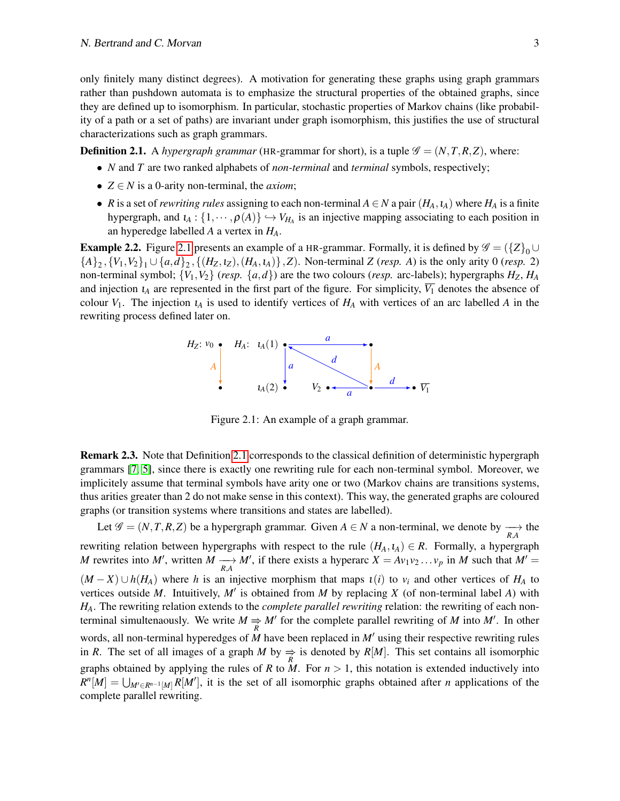only finitely many distinct degrees). A motivation for generating these graphs using graph grammars rather than pushdown automata is to emphasize the structural properties of the obtained graphs, since they are defined up to isomorphism. In particular, stochastic properties of Markov chains (like probability of a path or a set of paths) are invariant under graph isomorphism, this justifies the use of structural characterizations such as graph grammars.

<span id="page-3-1"></span>**Definition 2.1.** A *hypergraph grammar* (HR-grammar for short), is a tuple  $\mathcal{G} = (N, T, R, Z)$ , where:

- *N* and *T* are two ranked alphabets of *non-terminal* and *terminal* symbols, respectively;
- $Z \in N$  is a 0-arity non-terminal, the *axiom*;
- *R* is a set of *rewriting rules* assigning to each non-terminal  $A \in N$  a pair  $(H_A, t_A)$  where  $H_A$  is a finite hypergraph, and  $\iota_A$ :  $\{1, \dots, \rho(A)\} \hookrightarrow V_{H_A}$  is an injective mapping associating to each position in an hyperedge labelled *A* a vertex in *HA*.

<span id="page-3-2"></span>**Example 2.2.** Figure [2.1](#page-3-0) presents an example of a HR-grammar. Formally, it is defined by  $\mathscr{G} = (\{Z\}_{0} \cup$  $\{A\}_2, \{V_1, V_2\}_1 \cup \{a, d\}_2, \{(H_Z, t_Z), (H_A, t_A)\}, Z$ ). Non-terminal *Z* (*resp. A*) is the only arity 0 (*resp.* 2) non-terminal symbol;  $\{V_1, V_2\}$  (*resp.*  $\{a, d\}$ ) are the two colours (*resp.* arc-labels); hypergraphs  $H_Z$ ,  $H_A$ and injection  $\iota_A$  are represented in the first part of the figure. For simplicity,  $\overline{V_1}$  denotes the absence of colour  $V_1$ . The injection  $\iota_A$  is used to identify vertices of  $H_A$  with vertices of an arc labelled A in the rewriting process defined later on.



<span id="page-3-0"></span>Figure 2.1: An example of a graph grammar.

Remark 2.3. Note that Definition [2.1](#page-3-1) corresponds to the classical definition of deterministic hypergraph grammars [\[7,](#page-14-3) [5\]](#page-14-5), since there is exactly one rewriting rule for each non-terminal symbol. Moreover, we implicitely assume that terminal symbols have arity one or two (Markov chains are transitions systems, thus arities greater than 2 do not make sense in this context). This way, the generated graphs are coloured graphs (or transition systems where transitions and states are labelled).

Let  $\mathscr{G} = (N, T, R, Z)$  be a hypergraph grammar. Given  $A \in N$  a non-terminal, we denote by  $\longrightarrow_{R_A}$  the *R*,*A* rewriting relation between hypergraphs with respect to the rule  $(H_A, L_A) \in R$ . Formally, a hypergraph *M* rewrites into *M'*, written  $M \longrightarrow M'$ , if there exists a hyperarc  $X = Av_1v_2 \dots v_p$  in *M* such that  $M' =$  $(M - X) \cup h(H_A)$  where *h* is an injective morphism that maps  $\iota(i)$  to  $v_i$  and other vertices of  $H_A$  to vertices outside *M*. Intuitively, *M*′ is obtained from *M* by replacing *X* (of non-terminal label *A*) with *HA*. The rewriting relation extends to the *complete parallel rewriting* relation: the rewriting of each nonterminal simultenaously. We write  $M \Rightarrow M'$  for the complete parallel rewriting of *M* into *M'*. In other words, all non-terminal hyperedges of *M* have been replaced in *M*′ using their respective rewriting rules in *R*. The set of all images of a graph *M* by  $\Rightarrow_R$  is denoted by *R[M]*. This set contains all isomorphic graphs obtained by applying the rules of  $R$  to  $M$ . For  $n > 1$ , this notation is extended inductively into  $R^n[M] = \bigcup_{M' \in R^{n-1}[M]} R[M']$ , it is the set of all isomorphic graphs obtained after *n* applications of the complete parallel rewriting.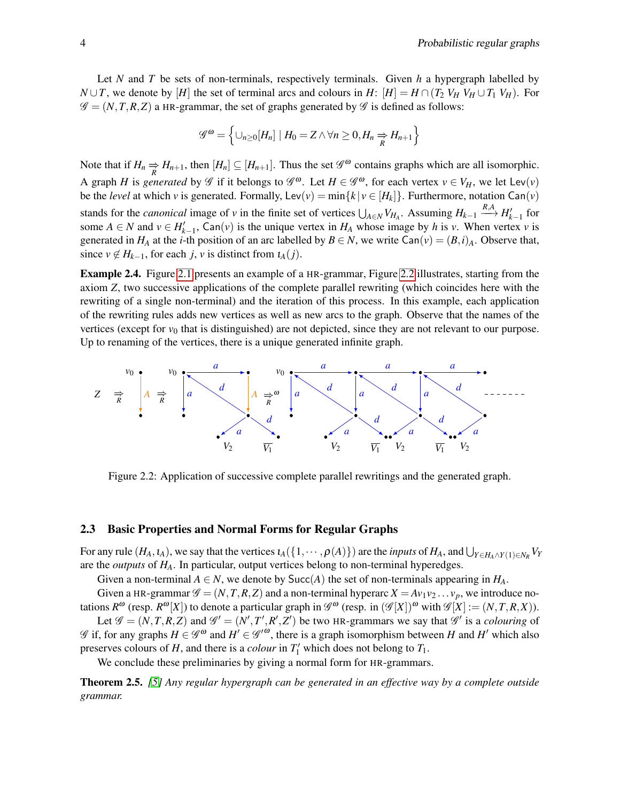Let *N* and *T* be sets of non-terminals, respectively terminals. Given *h* a hypergraph labelled by *N* ∪ *T*, we denote by [*H*] the set of terminal arcs and colours in *H*: [*H*] = *H* ∩ (*T*<sub>2</sub> *V<sub>H</sub>*  $V$ <sub>*H*</sub> ∪ *T*<sub>1</sub> *V<sub>H</sub>*). For  $\mathscr{G} = (N, T, R, Z)$  a HR-grammar, the set of graphs generated by  $\mathscr{G}$  is defined as follows:

$$
\mathscr{G}^{\omega} = \left\{ \cup_{n \geq 0} [H_n] \mid H_0 = Z \land \forall n \geq 0, H_n \Rightarrow H_{n+1} \right\}
$$

Note that if  $H_n \Rightarrow H_{n+1}$ , then  $[H_n] \subseteq [H_{n+1}]$ . Thus the set  $\mathscr{G}^{\omega}$  contains graphs which are all isomorphic. A graph *H* is *generated* by  $\mathscr G$  if it belongs to  $\mathscr G^{\omega}$ . Let  $H \in \mathscr G^{\omega}$ , for each vertex  $v \in V_H$ , we let Lev(*v*) be the *level* at which *v* is generated. Formally, Lev(*v*) = min{ $k | v \in [H_k]$ }. Furthermore, notation Can(*v*) stands for the *canonical* image of *v* in the finite set of vertices  $\bigcup_{A \in N} V_{H_A}$ . Assuming  $H_{k-1} \xrightarrow{R,A} H'_{k-1}$  for some  $A \in N$  and  $v \in H'_{k-1}$ , Can(*v*) is the unique vertex in  $H_A$  whose image by *h* is *v*. When vertex *v* is generated in  $H_A$  at the *i*-th position of an arc labelled by  $B \in N$ , we write  $\text{Can}(v) = (B,i)_A$ . Observe that, since  $v \notin H_{k-1}$ , for each *j*, *v* is distinct from  $u_A(j)$ .

Example 2.4. Figure [2.1](#page-3-0) presents an example of a HR-grammar, Figure [2.2](#page-4-0) illustrates, starting from the axiom *Z*, two successive applications of the complete parallel rewriting (which coincides here with the rewriting of a single non-terminal) and the iteration of this process. In this example, each application of the rewriting rules adds new vertices as well as new arcs to the graph. Observe that the names of the vertices (except for  $v_0$  that is distinguished) are not depicted, since they are not relevant to our purpose. Up to renaming of the vertices, there is a unique generated infinite graph.



<span id="page-4-0"></span>Figure 2.2: Application of successive complete parallel rewritings and the generated graph.

#### <span id="page-4-2"></span>2.3 Basic Properties and Normal Forms for Regular Graphs

For any rule  $(H_A, t_A)$ , we say that the vertices  $\iota_A(\{1, \dots, \rho(A)\})$  are the *inputs* of  $H_A$ , and  $\bigcup_{Y \in H_A \wedge Y(1) \in N_R} V_Y$ are the *outputs* of *HA*. In particular, output vertices belong to non-terminal hyperedges.

Given a non-terminal  $A \in N$ , we denote by Succ(A) the set of non-terminals appearing in  $H_A$ .

Given a HR-grammar  $\mathscr{G} = (N, T, R, Z)$  and a non-terminal hyperarc  $X = Av_1v_2 \dots v_p$ , we introduce notations  $R^{\omega}$  (resp.  $R^{\omega}[X]$ ) to denote a particular graph in  $\mathscr{G}^{\omega}$  (resp. in  $(\mathscr{G}[X])^{\omega}$  with  $\mathscr{G}[X] := (N, T, R, X)$ ). Let  $\mathscr{G} = (N, T, R, Z)$  and  $\mathscr{G}' = (N', T', R', Z')$  be two HR-grammars we say that  $\mathscr{G}'$  is a *colouring* of

 $\mathscr G$  if, for any graphs  $H \in \mathscr G^{\omega}$  and  $H' \in \mathscr G'^{\omega}$ , there is a graph isomorphism between  $H$  and  $H'$  which also preserves colours of *H*, and there is a *colour* in  $T_1'$  which does not belong to  $T_1$ .

We conclude these preliminaries by giving a normal form for HR-grammars.

<span id="page-4-1"></span>Theorem 2.5. *[\[5\]](#page-14-5) Any regular hypergraph can be generated in an effective way by a complete outside grammar.*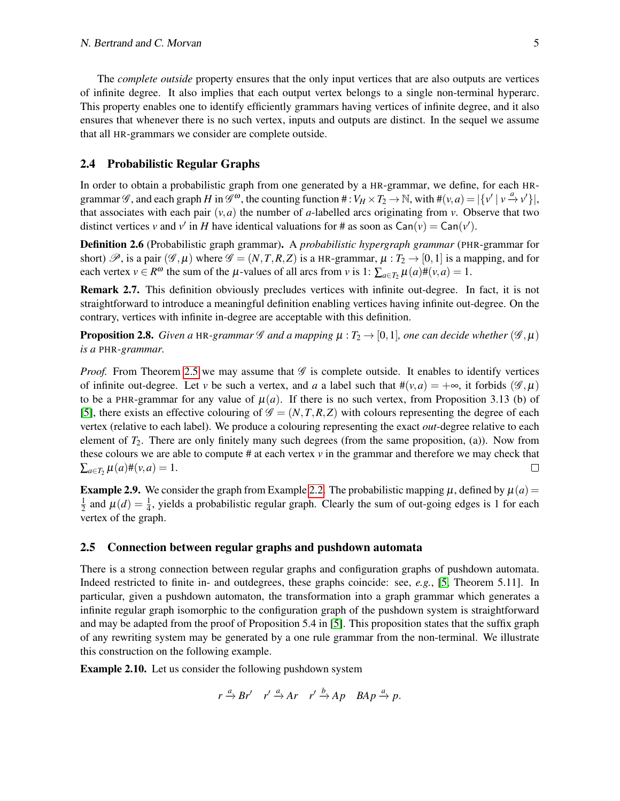The *complete outside* property ensures that the only input vertices that are also outputs are vertices of infinite degree. It also implies that each output vertex belongs to a single non-terminal hyperarc. This property enables one to identify efficiently grammars having vertices of infinite degree, and it also ensures that whenever there is no such vertex, inputs and outputs are distinct. In the sequel we assume that all HR-grammars we consider are complete outside.

#### 2.4 Probabilistic Regular Graphs

In order to obtain a probabilistic graph from one generated by a HR-grammar, we define, for each HRgrammar  $\mathscr{G}$ , and each graph  $H$  in  $\mathscr{G}^{\omega}$ , the counting function  $\# : V_H \times T_2 \to \mathbb{N}$ , with  $\#(v, a) = |\{v' | v \stackrel{a}{\to} v'\}|$ , that associates with each pair  $(v, a)$  the number of *a*-labelled arcs originating from *v*. Observe that two distinct vertices *v* and *v*<sup>'</sup> in *H* have identical valuations for # as soon as  $\text{Can}(v) = \text{Can}(v')$ .

Definition 2.6 (Probabilistic graph grammar). A *probabilistic hypergraph grammar* (PHR-grammar for short)  $\mathscr{P}$ , is a pair  $(\mathscr{G}, \mu)$  where  $\mathscr{G} = (N, T, R, Z)$  is a HR-grammar,  $\mu : T_2 \to [0, 1]$  is a mapping, and for each vertex  $v \in R^{\omega}$  the sum of the  $\mu$ -values of all arcs from *v* is 1:  $\sum_{a \in T_2} \mu(a) \#(v, a) = 1$ .

Remark 2.7. This definition obviously precludes vertices with infinite out-degree. In fact, it is not straightforward to introduce a meaningful definition enabling vertices having infinite out-degree. On the contrary, vertices with infinite in-degree are acceptable with this definition.

**Proposition 2.8.** *Given a* HR-grammar  $\mathscr G$  *and a mapping*  $\mu : T_2 \to [0,1]$ *, one can decide whether*  $(\mathscr G, \mu)$ *is a* PHR*-grammar.*

*Proof.* From Theorem [2.5](#page-4-1) we may assume that  $\mathscr G$  is complete outside. It enables to identify vertices of infinite out-degree. Let *v* be such a vertex, and *a* a label such that  $\#(\nu, a) = +\infty$ , it forbids ( $\mathscr{G}, \mu$ ) to be a PHR-grammar for any value of  $\mu(a)$ . If there is no such vertex, from Proposition 3.13 (b) of [\[5\]](#page-14-5), there exists an effective colouring of  $\mathscr{G} = (N, T, R, Z)$  with colours representing the degree of each vertex (relative to each label). We produce a colouring representing the exact *out*-degree relative to each element of  $T_2$ . There are only finitely many such degrees (from the same proposition, (a)). Now from these colours we are able to compute  $\#$  at each vertex  $\nu$  in the grammar and therefore we may check that  $\sum_{a \in T_2} \mu(a) \#(\nu, a) = 1.$  $\Box$ 

<span id="page-5-0"></span>**Example 2.9.** We consider the graph from Example [2.2.](#page-3-2) The probabilistic mapping  $\mu$ , defined by  $\mu(a)$  = 1  $\frac{1}{2}$  and  $\mu(d) = \frac{1}{4}$ , yields a probabilistic regular graph. Clearly the sum of out-going edges is 1 for each vertex of the graph.

#### 2.5 Connection between regular graphs and pushdown automata

There is a strong connection between regular graphs and configuration graphs of pushdown automata. Indeed restricted to finite in- and outdegrees, these graphs coincide: see, *e.g.*, [\[5,](#page-14-5) Theorem 5.11]. In particular, given a pushdown automaton, the transformation into a graph grammar which generates a infinite regular graph isomorphic to the configuration graph of the pushdown system is straightforward and may be adapted from the proof of Proposition 5.4 in [\[5\]](#page-14-5). This proposition states that the suffix graph of any rewriting system may be generated by a one rule grammar from the non-terminal. We illustrate this construction on the following example.

Example 2.10. Let us consider the following pushdown system

 $r \xrightarrow{a} Br'$   $r' \xrightarrow{a} Ar$   $r' \xrightarrow{b} Ap$   $BAp \xrightarrow{a} p$ .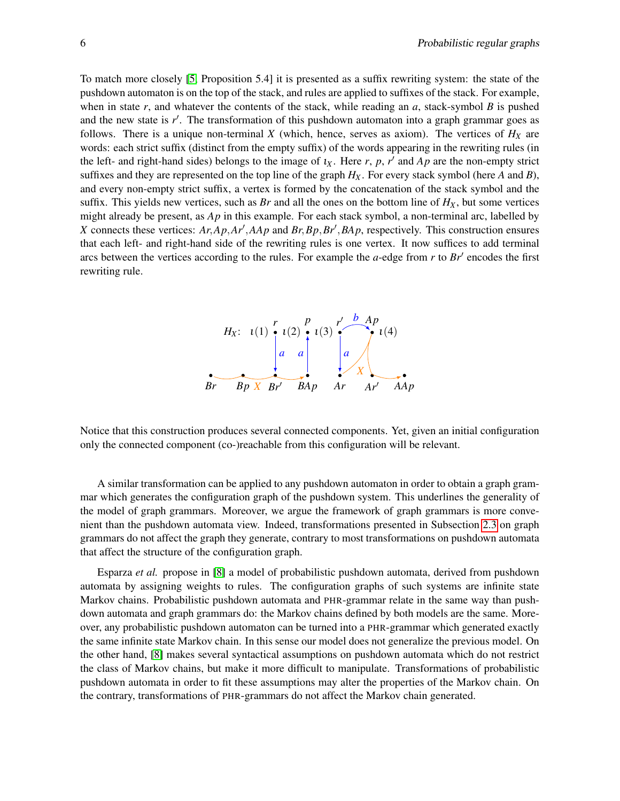To match more closely [\[5,](#page-14-5) Proposition 5.4] it is presented as a suffix rewriting system: the state of the pushdown automaton is on the top of the stack, and rules are applied to suffixes of the stack. For example, when in state  $r$ , and whatever the contents of the stack, while reading an  $a$ , stack-symbol  $B$  is pushed and the new state is r'. The transformation of this pushdown automaton into a graph grammar goes as follows. There is a unique non-terminal  $X$  (which, hence, serves as axiom). The vertices of  $H_X$  are words: each strict suffix (distinct from the empty suffix) of the words appearing in the rewriting rules (in the left- and right-hand sides) belongs to the image of  $\iota_X$ . Here  $r$ ,  $p$ ,  $r'$  and  $Ap$  are the non-empty strict suffixes and they are represented on the top line of the graph  $H_X$ . For every stack symbol (here *A* and *B*), and every non-empty strict suffix, a vertex is formed by the concatenation of the stack symbol and the suffix. This yields new vertices, such as *Br* and all the ones on the bottom line of  $H_X$ , but some vertices might already be present, as *Ap* in this example. For each stack symbol, a non-terminal arc, labelled by *X* connects these vertices: *Ar*,*Ap*,*Ar*′ ,*AAp* and *Br*,*Bp*,*Br*′ ,*BAp*, respectively. This construction ensures that each left- and right-hand side of the rewriting rules is one vertex. It now suffices to add terminal arcs between the vertices according to the rules. For example the *a*-edge from *r* to *Br*′ encodes the first rewriting rule.



Notice that this construction produces several connected components. Yet, given an initial configuration only the connected component (co-)reachable from this configuration will be relevant.

A similar transformation can be applied to any pushdown automaton in order to obtain a graph grammar which generates the configuration graph of the pushdown system. This underlines the generality of the model of graph grammars. Moreover, we argue the framework of graph grammars is more convenient than the pushdown automata view. Indeed, transformations presented in Subsection [2.3](#page-4-2) on graph grammars do not affect the graph they generate, contrary to most transformations on pushdown automata that affect the structure of the configuration graph.

Esparza *et al.* propose in [\[8\]](#page-14-0) a model of probabilistic pushdown automata, derived from pushdown automata by assigning weights to rules. The configuration graphs of such systems are infinite state Markov chains. Probabilistic pushdown automata and PHR-grammar relate in the same way than pushdown automata and graph grammars do: the Markov chains defined by both models are the same. Moreover, any probabilistic pushdown automaton can be turned into a PHR-grammar which generated exactly the same infinite state Markov chain. In this sense our model does not generalize the previous model. On the other hand, [\[8\]](#page-14-0) makes several syntactical assumptions on pushdown automata which do not restrict the class of Markov chains, but make it more difficult to manipulate. Transformations of probabilistic pushdown automata in order to fit these assumptions may alter the properties of the Markov chain. On the contrary, transformations of PHR-grammars do not affect the Markov chain generated.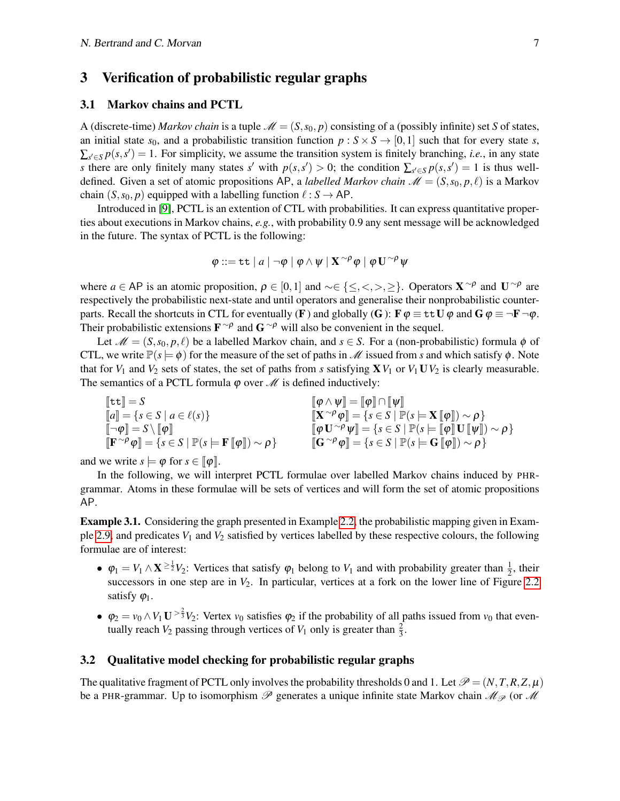### 3 Verification of probabilistic regular graphs

#### 3.1 Markov chains and PCTL

A (discrete-time) *Markov chain* is a tuple  $\mathcal{M} = (S, s_0, p)$  consisting of a (possibly infinite) set *S* of states, an initial state  $s_0$ , and a probabilistic transition function  $p : S \times S \rightarrow [0,1]$  such that for every state *s*,  $\sum_{s' \in S} p(s, s') = 1$ . For simplicity, we assume the transition system is finitely branching, *i.e.*, in any state *s* there are only finitely many states *s'* with  $p(s, s') > 0$ ; the condition  $\sum_{s' \in S} p(s, s') = 1$  is thus welldefined. Given a set of atomic propositions AP, a *labelled Markov chain*  $\mathcal{M} = (S, s_0, p, \ell)$  is a Markov chain  $(S, s_0, p)$  equipped with a labelling function  $\ell : S \to AP$ .

Introduced in [\[9\]](#page-14-6), PCTL is an extention of CTL with probabilities. It can express quantitative properties about executions in Markov chains, *e.g.*, with probability 0.9 any sent message will be acknowledged in the future. The syntax of PCTL is the following:

$$
\varphi ::= \mathtt{tt} \mid a \mid \neg \varphi \mid \varphi \wedge \psi \mid \mathbf{X}^{\neg \rho} \varphi \mid \varphi \mathbf{U}^{\neg \rho} \psi
$$

where  $a \in AP$  is an atomic proposition,  $\rho \in [0,1]$  and  $\sim \in \{\leq, <, >, \geq\}$ . Operators  $X^{\sim \rho}$  and  $U^{\sim \rho}$  are respectively the probabilistic next-state and until operators and generalise their nonprobabilistic counterparts. Recall the shortcuts in CTL for eventually (F) and globally (G):  $\mathbf{F}\varphi \equiv \pm \mathbf{t} \mathbf{U}\varphi$  and  $\mathbf{G}\varphi \equiv \neg \mathbf{F}\neg \varphi$ . Their probabilistic extensions  $\mathbf{F}^{\sim\rho}$  and  $\mathbf{G}^{\sim\rho}$  will also be convenient in the sequel.

Let  $\mathcal{M} = (S, s_0, p, \ell)$  be a labelled Markov chain, and  $s \in S$ . For a (non-probabilistic) formula  $\phi$  of CTL, we write  $\mathbb{P}(s \models \phi)$  for the measure of the set of paths in *M* issued from *s* and which satisfy  $\phi$ . Note that for  $V_1$  and  $V_2$  sets of states, the set of paths from *s* satisfying  $\mathbf{X}V_1$  or  $V_1 \mathbf{U}V_2$  is clearly measurable. The semantics of a PCTL formula  $\varphi$  over  $\mathcal M$  is defined inductively:

$$
\begin{array}{ll}\n[\![\texttt{tt}]\!] = S & [\![\boldsymbol{\varphi} \wedge \boldsymbol{\psi}]\!] = [\![\boldsymbol{\varphi}]\!] \cap [\![\boldsymbol{\psi}]\!] \\
[\![a]\!] = \{s \in S \mid a \in \ell(s)\} & [\![\texttt{X}^{\sim\rho}\boldsymbol{\varphi}]\!] = \{s \in S \mid \mathbb{P}(s \models \textbf{X} \mathbb{I}[\boldsymbol{\varphi}]\!) \sim \rho\} \\
[\![\neg\boldsymbol{\varphi}]\!] = S \setminus [\![\boldsymbol{\varphi}]\!] & [\![\boldsymbol{\varphi} \mathbf{U}^{\sim\rho}\boldsymbol{\psi}]\!] = \{s \in S \mid \mathbb{P}(s \models [\![\boldsymbol{\varphi}]\!] \mathbf{U} \mathbb{I}[\boldsymbol{\psi}]\!) \sim \rho\} \\
[\![\texttt{F}^{\sim\rho}\boldsymbol{\varphi}]\!] = \{s \in S \mid \mathbb{P}(s \models \textbf{G} \mathbb{I}[\boldsymbol{\varphi}]\!]\! \mathbf{U} \mathbb{I}[\boldsymbol{\psi}]\!) \sim \rho\}\n\end{array}
$$

and we write  $s \models \varphi$  for  $s \in [\varphi]$ .

In the following, we will interpret PCTL formulae over labelled Markov chains induced by PHRgrammar. Atoms in these formulae will be sets of vertices and will form the set of atomic propositions AP.

Example 3.1. Considering the graph presented in Example [2.2,](#page-3-2) the probabilistic mapping given in Exam-ple [2.9,](#page-5-0) and predicates  $V_1$  and  $V_2$  satisfied by vertices labelled by these respective colours, the following formulae are of interest:

- $\varphi_1 = V_1 \wedge \mathbf{X} \geq \frac{1}{2} V_2$ : Vertices that satisfy  $\varphi_1$  belong to  $V_1$  and with probability greater than  $\frac{1}{2}$ , their successors in one step are in  $V_2$ . In particular, vertices at a fork on the lower line of Figure [2.2](#page-4-0) satisfy  $\varphi_1$ .
- $\varphi_2 = v_0 \wedge V_1 \mathbf{U}^{\geq \frac{2}{3}} V_2$ : Vertex  $v_0$  satisfies  $\varphi_2$  if the probability of all paths issued from  $v_0$  that eventually reach  $V_2$  passing through vertices of  $V_1$  only is greater than  $\frac{2}{3}$ .

#### 3.2 Qualitative model checking for probabilistic regular graphs

The qualitative fragment of PCTL only involves the probability thresholds 0 and 1. Let  $\mathcal{P} = (N, T, R, Z, \mu)$ be a PHR-grammar. Up to isomorphism  $\mathscr P$  generates a unique infinite state Markov chain  $\mathscr M_{\mathscr P}$  (or  $\mathscr M$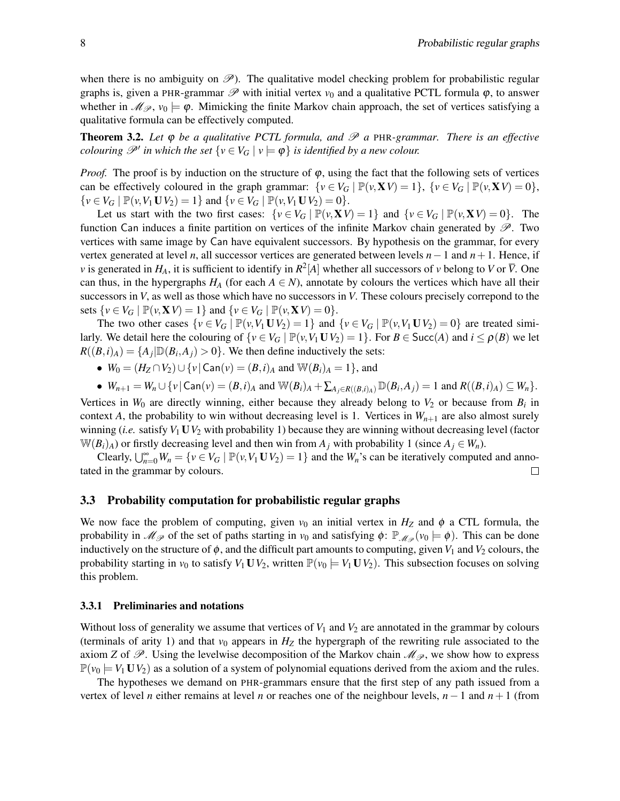when there is no ambiguity on  $\mathscr{P}$ ). The qualitative model checking problem for probabilistic regular graphs is, given a PHR-grammar  $\mathscr P$  with initial vertex  $v_0$  and a qualitative PCTL formula  $\varphi$ , to answer whether in  $\mathcal{M}_{\mathcal{P}}$ ,  $v_0 \models \varphi$ . Mimicking the finite Markov chain approach, the set of vertices satisfying a qualitative formula can be effectively computed.

Theorem 3.2. *Let* ϕ *be a qualitative PCTL formula, and* P *a* PHR*-grammar. There is an effective colouring*  $\mathscr{P}'$  *in which the set*  $\{v \in V_G \mid v \models \varphi\}$  *is identified by a new colour.* 

*Proof.* The proof is by induction on the structure of  $\varphi$ , using the fact that the following sets of vertices can be effectively coloured in the graph grammar:  $\{v \in V_G \mid \mathbb{P}(v, \mathbf{X}V) = 1\}$ ,  $\{v \in V_G \mid \mathbb{P}(v, \mathbf{X}V) = 0\}$ ,  $\{v \in V_G \mid \mathbb{P}(v, V_1 \mathbf{U} V_2) = 1\}$  and  $\{v \in V_G \mid \mathbb{P}(v, V_1 \mathbf{U} V_2) = 0\}.$ 

Let us start with the two first cases:  $\{v \in V_G \mid \mathbb{P}(v, \mathbf{X}V) = 1\}$  and  $\{v \in V_G \mid \mathbb{P}(v, \mathbf{X}V) = 0\}$ . The function Can induces a finite partition on vertices of the infinite Markov chain generated by  $\mathscr{P}$ . Two vertices with same image by Can have equivalent successors. By hypothesis on the grammar, for every vertex generated at level *n*, all successor vertices are generated between levels *n*−1 and *n*+1. Hence, if *v* is generated in  $H_A$ , it is sufficient to identify in  $R^2[A]$  whether all successors of *v* belong to *V* or  $\overline{V}$ . One can thus, in the hypergraphs  $H_A$  (for each  $A \in N$ ), annotate by colours the vertices which have all their successors in *V*, as well as those which have no successors in *V*. These colours precisely correpond to the sets  $\{v \in V_G \mid \mathbb{P}(v, \mathbf{X}V) = 1\}$  and  $\{v \in V_G \mid \mathbb{P}(v, \mathbf{X}V) = 0\}.$ 

The two other cases  $\{v \in V_G \mid \mathbb{P}(v, V_1 \mathbf{U} V_2) = 1\}$  and  $\{v \in V_G \mid \mathbb{P}(v, V_1 \mathbf{U} V_2) = 0\}$  are treated similarly. We detail here the colouring of  $\{v \in V_G \mid \mathbb{P}(v, V_1 \mathbf{U} V_2) = 1\}$ . For  $B \in \text{Succ}(A)$  and  $i \le \rho(B)$  we let  $R((B,i)<sub>A</sub>) = {A<sub>j</sub> | D(B<sub>i</sub>, A<sub>j</sub>) > 0}.$  We then define inductively the sets:

•  $W_0 = (H_Z \cap V_2) \cup \{v \mid \text{Can}(v) = (B, i)_A \text{ and } \mathbb{W}(B_i)_A = 1\}$ , and

• 
$$
W_{n+1} = W_n \cup \{v \mid \text{Can}(v) = (B, i)_A \text{ and } W(B_i)_A + \sum_{A_j \in R((B, i)_A)} \mathbb{D}(B_i, A_j) = 1 \text{ and } R((B, i)_A) \subseteq W_n\}.
$$

Vertices in  $W_0$  are directly winning, either because they already belong to  $V_2$  or because from  $B_i$  in context *A*, the probability to win without decreasing level is 1. Vertices in  $W_{n+1}$  are also almost surely winning (*i.e.* satisfy *V*<sup>1</sup> U*V*<sup>2</sup> with probability 1) because they are winning without decreasing level (factor W( $B_i$ )<sub>*A*</sub>) or firstly decreasing level and then win from  $A_j$  with probability 1 (since  $A_j \in W_n$ ).

Clearly,  $\bigcup_{n=0}^{\infty} W_n = \{v \in V_G \mid \mathbb{P}(v, V_1 \mathbf{U} V_2) = 1\}$  and the  $W_n$ 's can be iteratively computed and annotated in the grammar by colours.

#### 3.3 Probability computation for probabilistic regular graphs

We now face the problem of computing, given  $v_0$  an initial vertex in  $H_Z$  and  $\phi$  a CTL formula, the probability in  $\mathcal{M}_{\mathcal{P}}$  of the set of paths starting in  $v_0$  and satisfying  $\phi$ :  $\mathbb{P}_{\mathcal{M}_{\mathcal{P}}}(v_0 \models \phi)$ . This can be done inductively on the structure of  $\phi$ , and the difficult part amounts to computing, given  $V_1$  and  $V_2$  colours, the probability starting in  $v_0$  to satisfy  $V_1 \mathbf{U} V_2$ , written  $\mathbb{P}(v_0 \models V_1 \mathbf{U} V_2)$ . This subsection focuses on solving this problem.

#### 3.3.1 Preliminaries and notations

Without loss of generality we assume that vertices of  $V_1$  and  $V_2$  are annotated in the grammar by colours (terminals of arity 1) and that  $v_0$  appears in  $H_Z$  the hypergraph of the rewriting rule associated to the axiom *Z* of  $\mathscr{P}$ . Using the levelwise decomposition of the Markov chain  $\mathscr{M}_{\mathscr{P}}$ , we show how to express  $\mathbb{P}(v_0 = V_1 \mathbf{U} V_2)$  as a solution of a system of polynomial equations derived from the axiom and the rules.

The hypotheses we demand on PHR-grammars ensure that the first step of any path issued from a vertex of level *n* either remains at level *n* or reaches one of the neighbour levels, *n*−1 and *n*+1 (from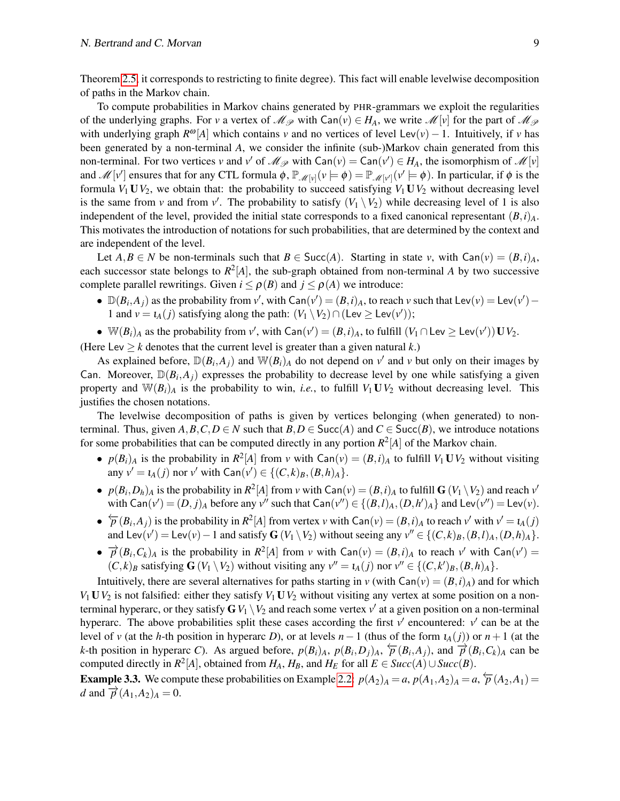Theorem [2.5,](#page-4-1) it corresponds to restricting to finite degree). This fact will enable levelwise decomposition of paths in the Markov chain.

To compute probabilities in Markov chains generated by PHR-grammars we exploit the regularities of the underlying graphs. For *v* a vertex of  $\mathcal{M}_{\mathcal{P}}$  with  $\text{Can}(v) \in H_A$ , we write  $\mathcal{M}[v]$  for the part of  $\mathcal{M}_{\mathcal{P}}$ with underlying graph  $R^{\omega}[A]$  which contains *v* and no vertices of level Lev(*v*) − 1. Intuitively, if *v* has been generated by a non-terminal *A*, we consider the infinite (sub-)Markov chain generated from this non-terminal. For two vertices *v* and *v*<sup> $\prime$ </sup> of  $\mathcal{M}_{\mathcal{P}}$  with  $\text{Can}(v) = \text{Can}(v') \in H_A$ , the isomorphism of  $\mathcal{M}[v]$ and  $\mathscr{M}[v']$  ensures that for any CTL formula  $\phi$ ,  $\mathbb{P}_{\mathscr{M}[v]}(v \models \phi) = \mathbb{P}_{\mathscr{M}[v']}(v' \models \phi)$ . In particular, if  $\phi$  is the formula  $V_1 \mathbf{U} V_2$ , we obtain that: the probability to succeed satisfying  $V_1 \mathbf{U} V_2$  without decreasing level is the same from *v* and from *v'*. The probability to satisfy  $(V_1 \setminus V_2)$  while decreasing level of 1 is also independent of the level, provided the initial state corresponds to a fixed canonical representant  $(B, i)$ <sup>A</sup>. This motivates the introduction of notations for such probabilities, that are determined by the context and are independent of the level.

Let  $A, B \in N$  be non-terminals such that  $B \in \text{Succ}(A)$ . Starting in state *v*, with  $\text{Can}(v) = (B, i)_{A}$ , each successor state belongs to *R* 2 [*A*], the sub-graph obtained from non-terminal *A* by two successive complete parallel rewritings. Given  $i \leq \rho(B)$  and  $j \leq \rho(A)$  we introduce:

- $\mathbb{D}(B_i, A_j)$  as the probability from *v'*, with  $\text{Can}(v') = (B, i)_A$ , to reach *v* such that  $\text{Lev}(v) = \text{Lev}(v') -$ 1 and  $v = t_A(j)$  satisfying along the path:  $(V_1 \setminus V_2) \cap (\text{Lev} \ge \text{Lev}(v'))$ ;
- $\bullet \ \ \mathbb{W}(B_i)_A$  as the probability from *v'*, with  $\mathsf{Can}(v') = (B, i)_A$ , to fulfill  $(V_1 \cap \mathsf{Lev} \ge \mathsf{Lev}(v')) \mathbf{U} V_2$ .

(Here Lev  $\geq k$  denotes that the current level is greater than a given natural *k*.)

As explained before,  $\mathbb{D}(B_i, A_j)$  and  $\mathbb{W}(B_i)$  do not depend on  $v'$  and  $v$  but only on their images by Can. Moreover,  $\mathbb{D}(B_i, A_j)$  expresses the probability to decrease level by one while satisfying a given property and  $\mathbb{W}(B_i)$ <sup>A</sup> is the probability to win, *i.e.*, to fulfill  $V_1 \mathbf{U} V_2$  without decreasing level. This justifies the chosen notations.

The levelwise decomposition of paths is given by vertices belonging (when generated) to nonterminal. Thus, given  $A, B, C, D \in N$  such that  $B, D \in \text{Succ}(A)$  and  $C \in \text{Succ}(B)$ , we introduce notations for some probabilities that can be computed directly in any portion  $R^2[A]$  of the Markov chain.

- $p(B_i)_A$  is the probability in  $R^2[A]$  from *v* with  $Can(v) = (B_i)_A$  to fulfill  $V_1 \mathbf{U} V_2$  without visiting  $\text{any } v' = \iota_A(j) \text{ nor } v' \text{ with } \text{Can}(v') \in \{(C, k)_B, (B, h)_A\}.$
- $p(B_i, D_h)_A$  is the probability in  $R^2[A]$  from *v* with  $\text{Can}(v) = (B, i)_A$  to fulfill  $\mathbf{G}(V_1 \setminus V_2)$  and reach  $v'$ with  $\text{Can}(v') = (D, j)_A$  before any  $v''$  such that  $\text{Can}(v'') \in \{(B, l)_A, (D, h')_A\}$  and  $\text{Lev}(v'') = \text{Lev}(v)$ .
- $\rightarrow \overline{p}(B_i, A_j)$  is the probability in  $R^2[A]$  from vertex *v* with Can(*v*) =  $(B, i)_A$  to reach  $v'$  with  $v' = \iota_A(j)$ and Lev $(v') = \text{Lev}(v) - 1$  and satisfy  $G(V_1 \setminus V_2)$  without seeing any  $v'' \in \{(C, k)_B, (B, l)_A, (D, h)_A\}.$
- $\rightarrow \vec{p}(B_i, C_k)_A$  is the probability in  $R^2[A]$  from *v* with Can(*v*) =  $(B, i)_A$  to reach *v*<sup>'</sup> with Can(*v*<sup>'</sup>) =  $(C, k)_B$  satisfying  $G(V_1 \setminus V_2)$  without visiting any  $v'' = \iota_A(j)$  nor  $v'' \in \{(C, k')_B, (B, h)_A\}.$

Intuitively, there are several alternatives for paths starting in *v* (with  $\text{Can}(v) = (B, i)_{A}$ ) and for which  $V_1$  **U** $V_2$  is not falsified: either they satisfy  $V_1$  **U** $V_2$  without visiting any vertex at some position on a nonterminal hyperarc, or they satisfy  $G$   $V_1 \setminus V_2$  and reach some vertex  $v'$  at a given position on a non-terminal hyperarc. The above probabilities split these cases according the first *v*' encountered: *v*' can be at the level of *v* (at the *h*-th position in hyperarc *D*), or at levels  $n-1$  (thus of the form  $\iota_A(j)$ ) or  $n+1$  (at the k-th position in hyperarc C). As argued before,  $p(B_i)_A$ ,  $p(B_i, D_j)_A$ ,  $\overleftarrow{p}(B_i, A_j)$ , and  $\overrightarrow{p}(B_i, C_k)_A$  can be computed directly in  $R^2[A]$ , obtained from  $H_A$ ,  $H_B$ , and  $H_E$  for all  $E \in Succ(A) \cup Succ(B)$ .

**Example 3.3.** We compute these probabilities on Example [2.2:](#page-3-2)  $p(A_2)_A = a$ ,  $p(A_1, A_2)_A = a$ ,  $\overline{p}(A_2, A_1) = a$ *d* and  $\overrightarrow{p}(A_1, A_2)$ <sub>*A*</sub> = 0.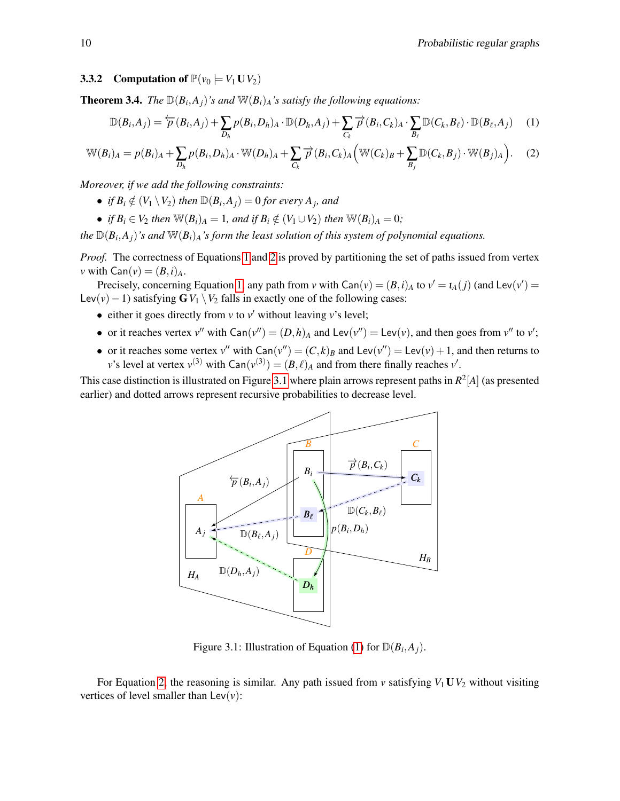#### 3.3.2 Computation of  $\mathbb{P}(v_0 \models V_1 \cup V_2)$

**Theorem 3.4.** *The*  $\mathbb{D}(B_i, A_j)$ *'s and*  $\mathbb{W}(B_i)_A$ *'s satisfy the following equations:* 

<span id="page-10-0"></span>
$$
\mathbb{D}(B_i, A_j) = \frac{\leftarrow}{P}(B_i, A_j) + \sum_{D_h} p(B_i, D_h)_{A} \cdot \mathbb{D}(D_h, A_j) + \sum_{C_k} \overrightarrow{P}(B_i, C_k)_{A} \cdot \sum_{B_\ell} \mathbb{D}(C_k, B_\ell) \cdot \mathbb{D}(B_\ell, A_j)
$$
(1)

$$
\mathbb{W}(B_i)_A = p(B_i)_A + \sum_{D_h} p(B_i, D_h)_A \cdot \mathbb{W}(D_h)_A + \sum_{C_k} \overrightarrow{p}(B_i, C_k)_A \left( \mathbb{W}(C_k)_B + \sum_{B_j} \mathbb{D}(C_k, B_j) \cdot \mathbb{W}(B_j)_A \right). \tag{2}
$$

*Moreover, if we add the following constraints:*

- *if*  $B_i \notin (V_1 \setminus V_2)$  *then*  $\mathbb{D}(B_i, A_j) = 0$  *for every*  $A_j$ *, and*
- *if*  $B_i \in V_2$  *then*  $\mathbb{W}(B_i)_A = 1$ *, and if*  $B_i \notin (V_1 \cup V_2)$  *then*  $\mathbb{W}(B_i)_A = 0$ *;*

*the*  $\mathbb{D}(B_i, A_j)$ *'s and*  $\mathbb{W}(B_i)$ *A's form the least solution of this system of polynomial equations.* 

*Proof.* The correctness of Equations [1](#page-10-0) and [2](#page-10-0) is proved by partitioning the set of paths issued from vertex *v* with  $\textsf{Can}(v) = (B,i)_A$ .

Precisely, concerning Equation [1,](#page-10-0) any path from *v* with  $\text{Can}(v) = (B, i)_{A}$  to  $v' = \iota_{A}(j)$  (and  $\text{Lev}(v') =$ Lev(*v*)−1) satisfying  $\mathbf{G}V_1 \setminus V_2$  falls in exactly one of the following cases:

- either it goes directly from  $v$  to  $v'$  without leaving  $v$ 's level;
- or it reaches vertex  $v''$  with  $\text{Can}(v'') = (D,h)_A$  and  $\text{Lev}(v'') = \text{Lev}(v)$ , and then goes from  $v''$  to  $v'$ ;
- or it reaches some vertex  $v''$  with  $\text{Can}(v'') = (C, k)_B$  and  $\text{Lev}(v'') = \text{Lev}(v) + 1$ , and then returns to *v*'s level at vertex  $v^{(3)}$  with  $\text{Can}(v^{(3)}) = (B, \ell)_A$  and from there finally reaches  $v'$ .

This case distinction is illustrated on Figure [3.1](#page-10-1) where plain arrows represent paths in *R* 2 [*A*] (as presented earlier) and dotted arrows represent recursive probabilities to decrease level.



<span id="page-10-1"></span>Figure 3.1: Illustration of Equation [\(1\)](#page-10-0) for  $\mathbb{D}(B_i, A_j)$ .

For Equation [2,](#page-10-0) the reasoning is similar. Any path issued from  $v$  satisfying  $V_1$  **U** $V_2$  without visiting vertices of level smaller than  $\text{Lev}(v)$ :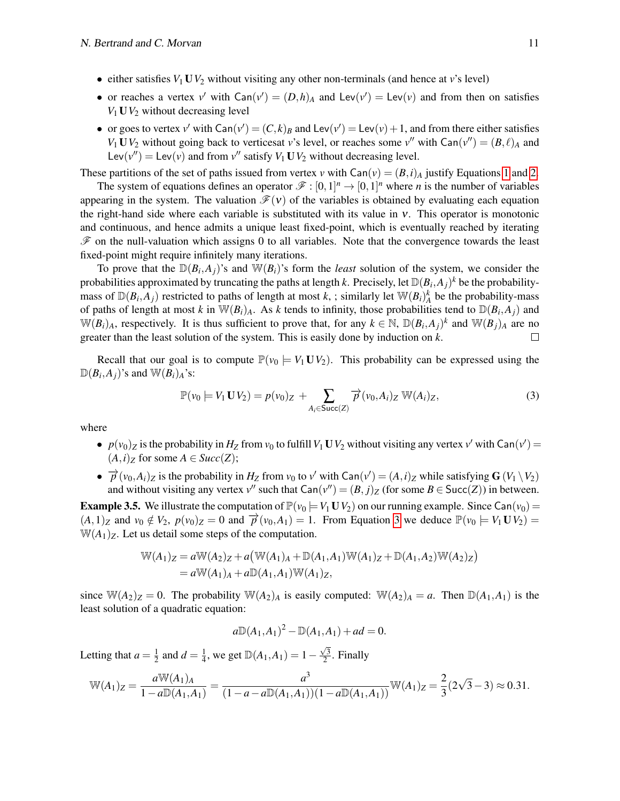- either satisfies  $V_1$  U $V_2$  without visiting any other non-terminals (and hence at *v*'s level)
- or reaches a vertex  $v'$  with  $Can(v') = (D,h)_A$  and  $Lev(v') = Lev(v)$  and from then on satisfies  $V_1$  **U** $V_2$  without decreasing level
- or goes to vertex  $v'$  with  $\text{Can}(v') = (C, k)_B$  and  $\text{Lev}(v') = \text{Lev}(v) + 1$ , and from there either satisfies *V*<sub>1</sub> **U***V*<sub>2</sub> without going back to verticesat *v*'s level, or reaches some *v*<sup>*''*</sup> with  $\text{Can}(v'') = (B, \ell)_A$  and Lev( $v''$ ) = Lev( $v$ ) and from  $v''$  satisfy  $V_1$  **U** $V_2$  without decreasing level.

These partitions of the set of paths issued from vertex *v* with  $\text{Can}(v) = (B, i)_{A}$  justify Equations [1](#page-10-0) and [2.](#page-10-0)

The system of equations defines an operator  $\mathcal{F} : [0,1]^n \to [0,1]^n$  where *n* is the number of variables appearing in the system. The valuation  $\mathcal{F}(v)$  of the variables is obtained by evaluating each equation the right-hand side where each variable is substituted with its value in ν. This operator is monotonic and continuous, and hence admits a unique least fixed-point, which is eventually reached by iterating  $\mathscr F$  on the null-valuation which assigns 0 to all variables. Note that the convergence towards the least fixed-point might require infinitely many iterations.

To prove that the  $\mathbb{D}(B_i,A_j)$ 's and  $\mathbb{W}(B_i)$ 's form the *least* solution of the system, we consider the probabilities approximated by truncating the paths at length *k*. Precisely, let  $\mathbb{D}(B_i,A_j)^k$  be the probabilitymass of  $\mathbb{D}(B_i, A_j)$  restricted to paths of length at most *k*, ; similarly let  $\mathbb{W}(B_i)^k_A$  be the probability-mass of paths of length at most *k* in  $\mathbb{W}(B_i)_A$ . As *k* tends to infinity, those probabilities tend to  $\mathbb{D}(B_i, A_j)$  and  $W(B_i)_A$ , respectively. It is thus sufficient to prove that, for any  $k \in \mathbb{N}$ ,  $\mathbb{D}(B_i, A_j)^k$  and  $W(B_j)_A$  are no greater than the least solution of the system. This is easily done by induction on *k*.  $\Box$ 

Recall that our goal is to compute  $\mathbb{P}(v_0 = V_1 \mathbf{U} V_2)$ . This probability can be expressed using the  $\mathbb{D}(B_i, A_j)$ 's and  $\mathbb{W}(B_i)_A$ 's:

<span id="page-11-0"></span>
$$
\mathbb{P}(v_0 \models V_1 \mathbf{U} V_2) = p(v_0)_Z + \sum_{A_i \in \text{Succ}(Z)} \overrightarrow{p}(v_0, A_i)_Z \mathbb{W}(A_i)_Z,
$$
\n(3)

where

- $p(v_0)_Z$  is the probability in  $H_Z$  from  $v_0$  to fulfill  $V_1 \mathbf{U} V_2$  without visiting any vertex  $v'$  with  $\text{Can}(v') =$  $(A, i)_Z$  for some  $A \in Succ(Z)$ ;
- $\rightarrow \vec{p}(v_0, A_i)$  *Z* is the probability in  $H_Z$  from  $v_0$  to  $v'$  with Can( $v'$ ) =  $(A, i)_Z$  while satisfying **G** ( $V_1 \setminus V_2$ ) and without visiting any vertex  $v''$  such that  $Can(v'') = (B, j)_Z$  (for some  $B \in Succ(Z)$ ) in between.

**Example 3.5.** We illustrate the computation of  $\mathbb{P}(v_0 \models V_1 \cup V_2)$  on our running example. Since Can( $v_0$ ) =  $(A,1)_Z$  and  $v_0 \notin V_2$ ,  $p(v_0)_Z = 0$  and  $\overrightarrow{p}(v_0, A_1) = 1$ . From Equation [3](#page-11-0) we deduce  $\mathbb{P}(v_0 \models V_1 \cup V_2) =$  $W(A_1)_Z$ . Let us detail some steps of the computation.

$$
\mathbb{W}(A_1)_Z = a \mathbb{W}(A_2)_Z + a (\mathbb{W}(A_1)_A + \mathbb{D}(A_1, A_1) \mathbb{W}(A_1)_Z + \mathbb{D}(A_1, A_2) \mathbb{W}(A_2)_Z)
$$
  
=  $a \mathbb{W}(A_1)_A + a \mathbb{D}(A_1, A_1) \mathbb{W}(A_1)_Z$ ,

since  $W(A_2)_Z = 0$ . The probability  $W(A_2)_A$  is easily computed:  $W(A_2)_A = a$ . Then  $D(A_1, A_1)$  is the least solution of a quadratic equation:

$$
a\mathbb{D}(A_1,A_1)^2 - \mathbb{D}(A_1,A_1) + ad = 0.
$$

Letting that  $a = \frac{1}{2}$  $\frac{1}{2}$  and  $d = \frac{1}{4}$  $\frac{1}{4}$ , we get  $\mathbb{D}(A_1, A_1) = 1 - \frac{\sqrt{3}}{2}$  $\frac{73}{2}$ . Finally

$$
\mathbb{W}(A_1)_Z = \frac{a \mathbb{W}(A_1)_A}{1 - a \mathbb{D}(A_1, A_1)} = \frac{a^3}{(1 - a - a \mathbb{D}(A_1, A_1))(1 - a \mathbb{D}(A_1, A_1))} \mathbb{W}(A_1)_Z = \frac{2}{3} (2\sqrt{3} - 3) \approx 0.31.
$$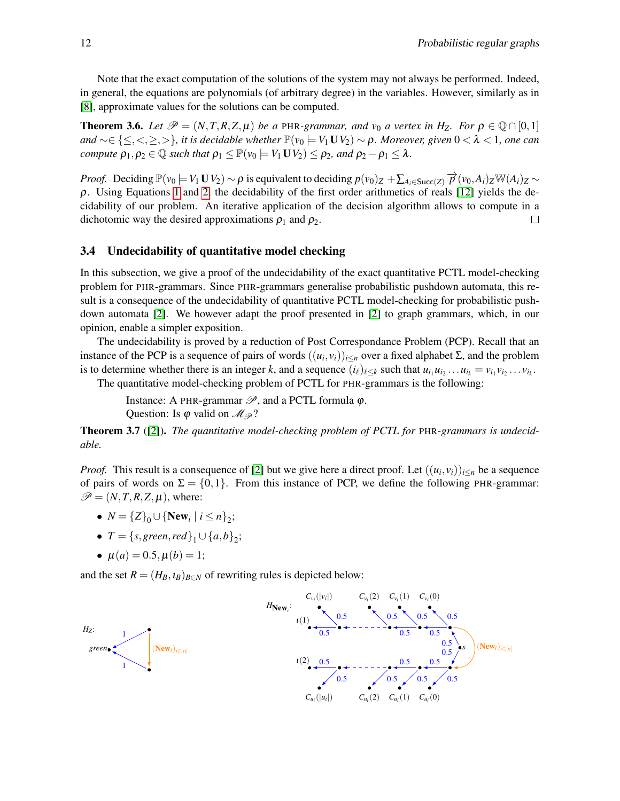Note that the exact computation of the solutions of the system may not always be performed. Indeed, in general, the equations are polynomials (of arbitrary degree) in the variables. However, similarly as in [\[8\]](#page-14-0), approximate values for the solutions can be computed.

**Theorem 3.6.** Let  $\mathcal{P} = (N, T, R, Z, \mu)$  be a PHR-grammar, and  $v_0$  a vertex in H<sub>Z</sub>. For  $\rho \in \mathbb{Q} \cap [0,1]$  $and \sim \in \{ \leq, <, \geq, > \}$ *, it is decidable whether*  $\mathbb{P}(v_0 \models V_1 \mathbf{U} V_2) \sim \rho$ *. Moreover, given*  $0 < \lambda < 1$ *, one can compute*  $\rho_1, \rho_2 \in \mathbb{Q}$  *such that*  $\rho_1 \leq \mathbb{P}(v_0 \models V_1 \cup V_2) \leq \rho_2$ *, and*  $\rho_2 - \rho_1 \leq \lambda$ *.* 

*Proof.* Deciding  $\mathbb{P}(v_0 \models V_1 \mathbf{U} V_2) \sim \rho$  is equivalent to deciding  $p(v_0)_Z + \sum_{A_i \in \text{Succ}(Z)} \overrightarrow{p}(v_0, A_i)_Z \mathbb{W}(A_i)_Z \sim$  $\rho$ . Using Equations [1](#page-10-0) and [2,](#page-10-0) the decidability of the first order arithmetics of reals [\[12\]](#page-14-8) yields the decidability of our problem. An iterative application of the decision algorithm allows to compute in a dichotomic way the desired approximations  $\rho_1$  and  $\rho_2$ .  $\Box$ 

#### 3.4 Undecidability of quantitative model checking

In this subsection, we give a proof of the undecidability of the exact quantitative PCTL model-checking problem for PHR-grammars. Since PHR-grammars generalise probabilistic pushdown automata, this result is a consequence of the undecidability of quantitative PCTL model-checking for probabilistic pushdown automata [\[2\]](#page-13-0). We however adapt the proof presented in [\[2\]](#page-13-0) to graph grammars, which, in our opinion, enable a simpler exposition.

The undecidability is proved by a reduction of Post Correspondance Problem (PCP). Recall that an instance of the PCP is a sequence of pairs of words  $((u_i, v_i))_{i \le n}$  over a fixed alphabet  $\Sigma$ , and the problem is to determine whether there is an integer k, and a sequence  $(i_\ell)_{\ell \leq k}$  such that  $u_{i_1}u_{i_2}...u_{i_k} = v_{i_1}v_{i_2}...v_{i_k}$ .

The quantitative model-checking problem of PCTL for PHR-grammars is the following:

Instance: A PHR-grammar  $\mathscr{P}$ , and a PCTL formula  $\varphi$ . Question: Is  $\varphi$  valid on  $\mathcal{M}_{\mathcal{P}}$ ?

Theorem 3.7 ([\[2\]](#page-13-0)). *The quantitative model-checking problem of PCTL for* PHR*-grammars is undecidable.*

*Proof.* This result is a consequence of [\[2\]](#page-13-0) but we give here a direct proof. Let  $((u_i, v_i))_{i \le n}$  be a sequence of pairs of words on  $\Sigma = \{0,1\}$ . From this instance of PCP, we define the following PHR-grammar:  $\mathscr{P} = (N, T, R, Z, \mu)$ , where:

- $N = \{Z\}_0 \cup \{\text{New}_i \mid i \leq n\}_2;$
- $T = \{s, green, red\}_1 \cup \{a,b\}_2;$
- $\mu(a) = 0.5, \mu(b) = 1;$

and the set  $R = (H_B, t_B)_{B \in N}$  of rewriting rules is depicted below:

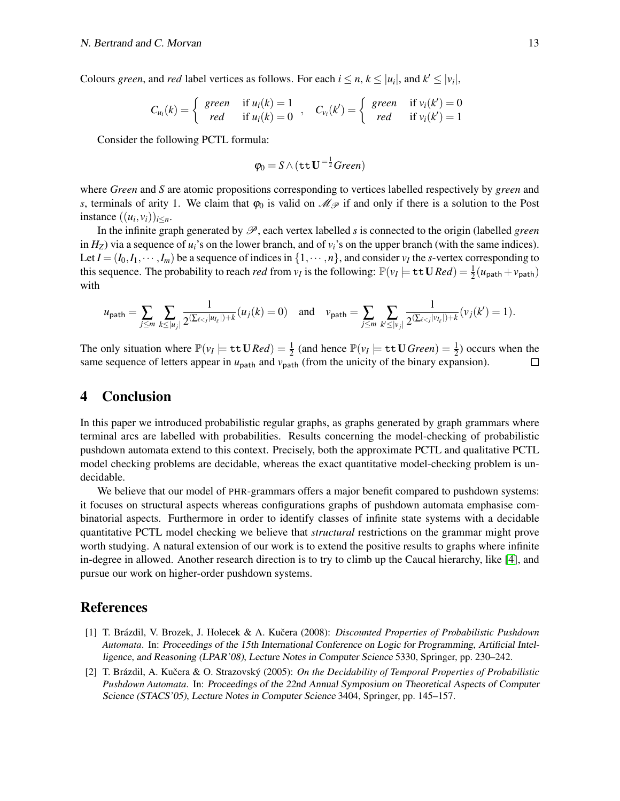Colours *green*, and *red* label vertices as follows. For each  $i \leq n, k \leq |u_i|$ , and  $k' \leq |v_i|$ ,

$$
C_{u_i}(k) = \begin{cases} \text{green} & \text{if } u_i(k) = 1 \\ \text{red} & \text{if } u_i(k) = 0 \end{cases}, \quad C_{v_i}(k') = \begin{cases} \text{green} & \text{if } v_i(k') = 0 \\ \text{red} & \text{if } v_i(k') = 1 \end{cases}
$$

Consider the following PCTL formula:

$$
\varphi_0 = S \wedge (\texttt{tt} \, \mathbf{U}^{-\frac{1}{2}} \textit{Green})
$$

where *Green* and *S* are atomic propositions corresponding to vertices labelled respectively by *green* and *s*, terminals of arity 1. We claim that  $\varphi_0$  is valid on  $\mathcal{M}_{\mathcal{P}}$  if and only if there is a solution to the Post instance  $((u_i, v_i))_{i \leq n}$ .

In the infinite graph generated by  $\mathscr{P}$ , each vertex labelled *s* is connected to the origin (labelled *green* in  $H_Z$ ) via a sequence of  $u_i$ 's on the lower branch, and of  $v_i$ 's on the upper branch (with the same indices). Let  $I = (I_0, I_1, \dots, I_m)$  be a sequence of indices in  $\{1, \dots, n\}$ , and consider  $v_I$  the *s*-vertex corresponding to this sequence. The probability to reach *red* from  $v_I$  is the following:  $\mathbb{P}(v_I \models \texttt{tt} \mathbf{U} \text{Re} d) = \frac{1}{2}(u_{\texttt{path}} + v_{\texttt{path}})$ with

$$
u_{\text{path}} = \sum_{j \le m} \sum_{k \le |u_j|} \frac{1}{2^{(\sum_{\ell < j} |u_{\ell}|) + k}} (u_j(k) = 0) \quad \text{and} \quad v_{\text{path}} = \sum_{j \le m} \sum_{k' \le |v_j|} \frac{1}{2^{(\sum_{\ell < j} |v_{\ell}|) + k}} (v_j(k') = 1).
$$

The only situation where  $\mathbb{P}(v_I \models \texttt{tt} \, \mathbf{U} \, \mathbf{R} \, \mathbf{e} \, d) = \frac{1}{2}$  (and hence  $\mathbb{P}(v_I \models \texttt{tt} \, \mathbf{U} \, \mathbf{G} \, \mathbf{r} \, \mathbf{e} \, \mathbf{e} \, n) = \frac{1}{2}$ ) occurs when the same sequence of letters appear in  $u_{\text{path}}$  and  $v_{\text{path}}$  (from the unicity of the binary expansion).  $\Box$ 

## 4 Conclusion

In this paper we introduced probabilistic regular graphs, as graphs generated by graph grammars where terminal arcs are labelled with probabilities. Results concerning the model-checking of probabilistic pushdown automata extend to this context. Precisely, both the approximate PCTL and qualitative PCTL model checking problems are decidable, whereas the exact quantitative model-checking problem is undecidable.

We believe that our model of PHR-grammars offers a major benefit compared to pushdown systems: it focuses on structural aspects whereas configurations graphs of pushdown automata emphasise combinatorial aspects. Furthermore in order to identify classes of infinite state systems with a decidable quantitative PCTL model checking we believe that *structural* restrictions on the grammar might prove worth studying. A natural extension of our work is to extend the positive results to graphs where infinite in-degree in allowed. Another research direction is to try to climb up the Caucal hierarchy, like [\[4\]](#page-14-9), and pursue our work on higher-order pushdown systems.

### **References**

- <span id="page-13-1"></span>[1] T. Brázdil, V. Brozek, J. Holecek & A. Kučera (2008): *Discounted Properties of Probabilistic Pushdown Automata*. In: Proceedings of the 15th International Conference on Logic for Programming, Artificial Intelligence, and Reasoning (LPAR'08), Lecture Notes in Computer Science 5330, Springer, pp. 230–242.
- <span id="page-13-0"></span>[2] T. Brázdil, A. Kučera & O. Strazovský (2005): On the Decidability of Temporal Properties of Probabilistic *Pushdown Automata*. In: Proceedings of the 22nd Annual Symposium on Theoretical Aspects of Computer Science (STACS'05), Lecture Notes in Computer Science 3404, Springer, pp. 145–157.